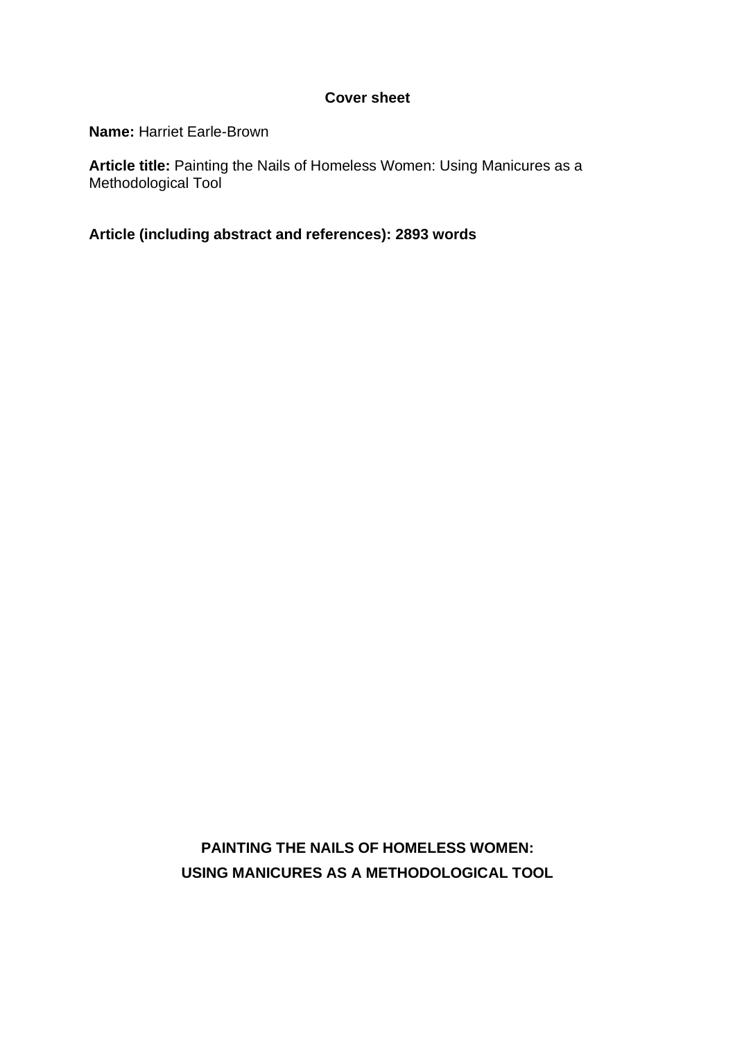# **Cover sheet**

**Name:** Harriet Earle-Brown

Article title: Painting the Nails of Homeless Women: Using Manicures as a Methodological Tool

**Article (including abstract and references): 2893 words**

**PAINTING THE NAILS OF HOMELESS WOMEN: USING MANICURES AS A METHODOLOGICAL TOOL**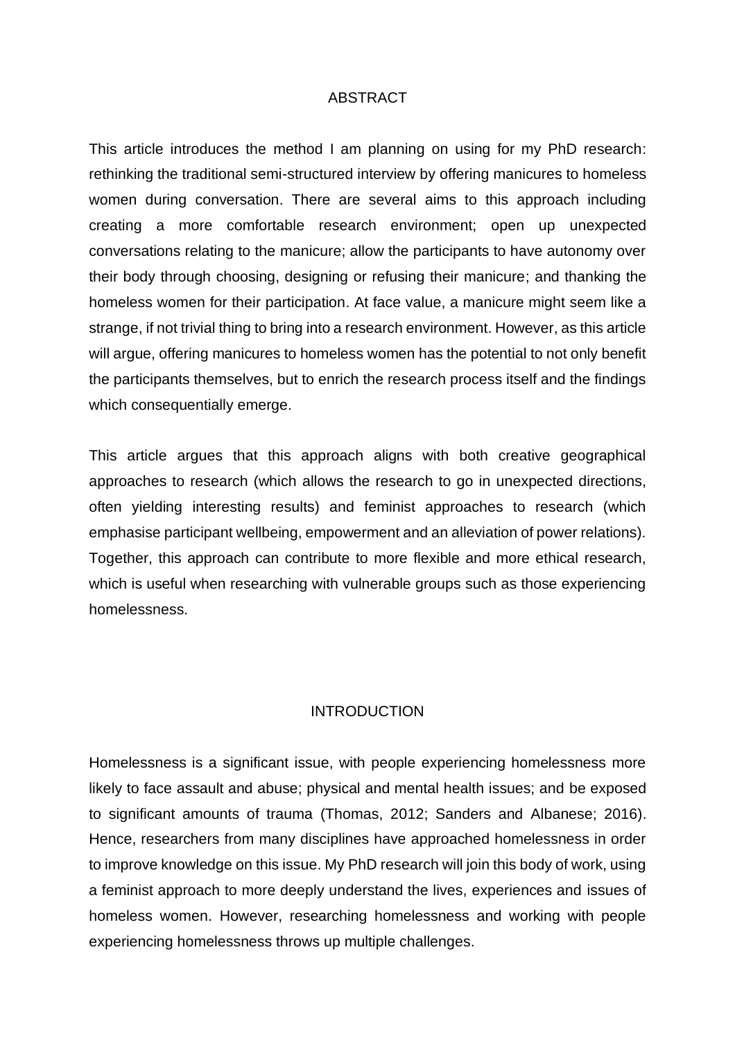### ABSTRACT

This article introduces the method I am planning on using for my PhD research: rethinking the traditional semi-structured interview by offering manicures to homeless women during conversation. There are several aims to this approach including creating a more comfortable research environment; open up unexpected conversations relating to the manicure; allow the participants to have autonomy over their body through choosing, designing or refusing their manicure; and thanking the homeless women for their participation. At face value, a manicure might seem like a strange, if not trivial thing to bring into a research environment. However, as this article will argue, offering manicures to homeless women has the potential to not only benefit the participants themselves, but to enrich the research process itself and the findings which consequentially emerge.

This article argues that this approach aligns with both creative geographical approaches to research (which allows the research to go in unexpected directions, often yielding interesting results) and feminist approaches to research (which emphasise participant wellbeing, empowerment and an alleviation of power relations). Together, this approach can contribute to more flexible and more ethical research, which is useful when researching with vulnerable groups such as those experiencing homelessness.

# INTRODUCTION

Homelessness is a significant issue, with people experiencing homelessness more likely to face assault and abuse; physical and mental health issues; and be exposed to significant amounts of trauma (Thomas, 2012; Sanders and Albanese; 2016). Hence, researchers from many disciplines have approached homelessness in order to improve knowledge on this issue. My PhD research will join this body of work, using a feminist approach to more deeply understand the lives, experiences and issues of homeless women. However, researching homelessness and working with people experiencing homelessness throws up multiple challenges.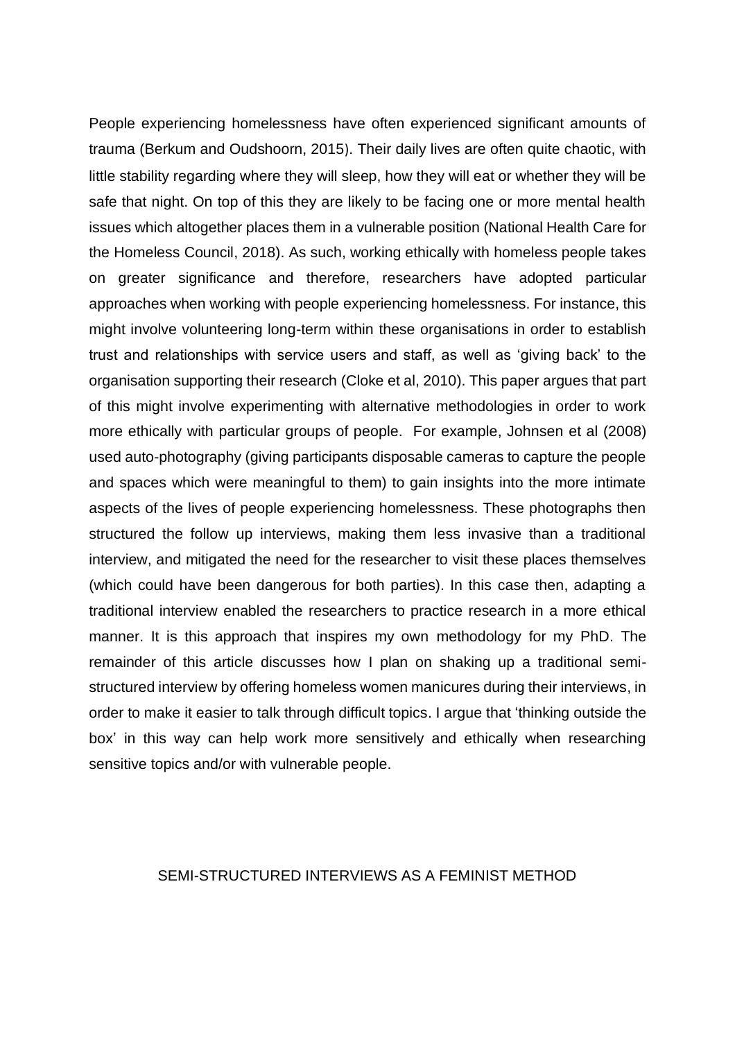People experiencing homelessness have often experienced significant amounts of trauma (Berkum and Oudshoorn, 2015). Their daily lives are often quite chaotic, with little stability regarding where they will sleep, how they will eat or whether they will be safe that night. On top of this they are likely to be facing one or more mental health issues which altogether places them in a vulnerable position (National Health Care for the Homeless Council, 2018). As such, working ethically with homeless people takes on greater significance and therefore, researchers have adopted particular approaches when working with people experiencing homelessness. For instance, this might involve volunteering long-term within these organisations in order to establish trust and relationships with service users and staff, as well as 'giving back' to the organisation supporting their research (Cloke et al, 2010). This paper argues that part of this might involve experimenting with alternative methodologies in order to work more ethically with particular groups of people. For example, Johnsen et al (2008) used auto-photography (giving participants disposable cameras to capture the people and spaces which were meaningful to them) to gain insights into the more intimate aspects of the lives of people experiencing homelessness. These photographs then structured the follow up interviews, making them less invasive than a traditional interview, and mitigated the need for the researcher to visit these places themselves (which could have been dangerous for both parties). In this case then, adapting a traditional interview enabled the researchers to practice research in a more ethical manner. It is this approach that inspires my own methodology for my PhD. The remainder of this article discusses how I plan on shaking up a traditional semistructured interview by offering homeless women manicures during their interviews, in order to make it easier to talk through difficult topics. I argue that 'thinking outside the box' in this way can help work more sensitively and ethically when researching sensitive topics and/or with vulnerable people.

# SEMI-STRUCTURED INTERVIEWS AS A FEMINIST METHOD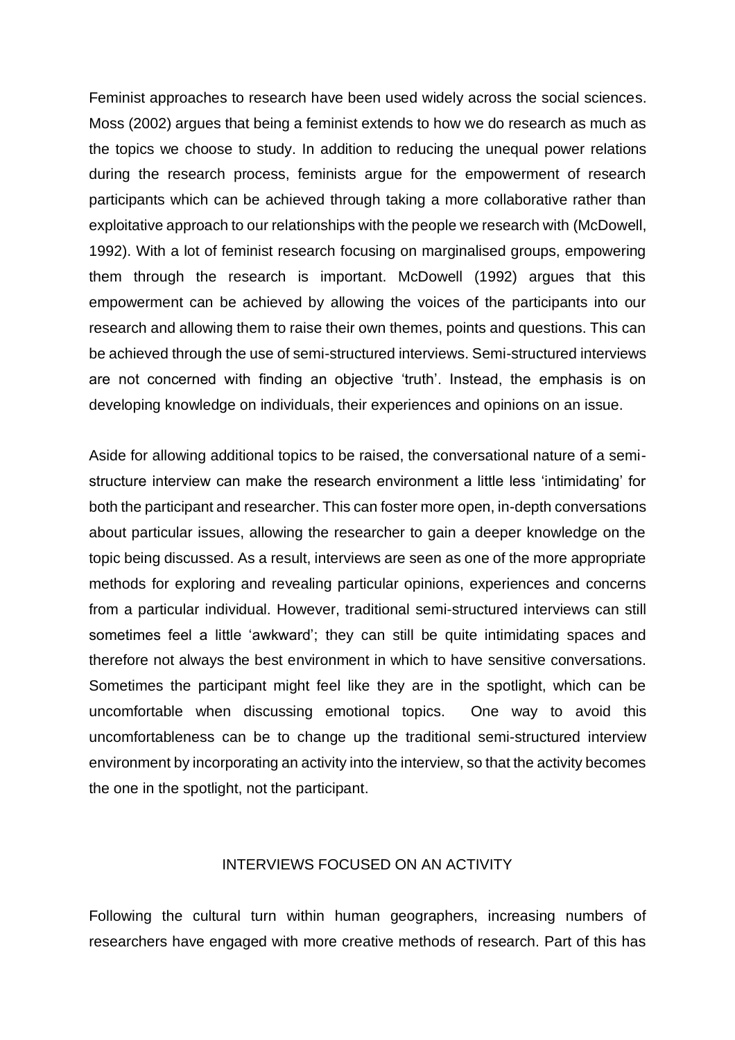Feminist approaches to research have been used widely across the social sciences. Moss (2002) argues that being a feminist extends to how we do research as much as the topics we choose to study. In addition to reducing the unequal power relations during the research process, feminists argue for the empowerment of research participants which can be achieved through taking a more collaborative rather than exploitative approach to our relationships with the people we research with (McDowell, 1992). With a lot of feminist research focusing on marginalised groups, empowering them through the research is important. McDowell (1992) argues that this empowerment can be achieved by allowing the voices of the participants into our research and allowing them to raise their own themes, points and questions. This can be achieved through the use of semi-structured interviews. Semi-structured interviews are not concerned with finding an objective 'truth'. Instead, the emphasis is on developing knowledge on individuals, their experiences and opinions on an issue.

Aside for allowing additional topics to be raised, the conversational nature of a semistructure interview can make the research environment a little less 'intimidating' for both the participant and researcher. This can foster more open, in-depth conversations about particular issues, allowing the researcher to gain a deeper knowledge on the topic being discussed. As a result, interviews are seen as one of the more appropriate methods for exploring and revealing particular opinions, experiences and concerns from a particular individual. However, traditional semi-structured interviews can still sometimes feel a little 'awkward'; they can still be quite intimidating spaces and therefore not always the best environment in which to have sensitive conversations. Sometimes the participant might feel like they are in the spotlight, which can be uncomfortable when discussing emotional topics. One way to avoid this uncomfortableness can be to change up the traditional semi-structured interview environment by incorporating an activity into the interview, so that the activity becomes the one in the spotlight, not the participant.

## INTERVIEWS FOCUSED ON AN ACTIVITY

Following the cultural turn within human geographers, increasing numbers of researchers have engaged with more creative methods of research. Part of this has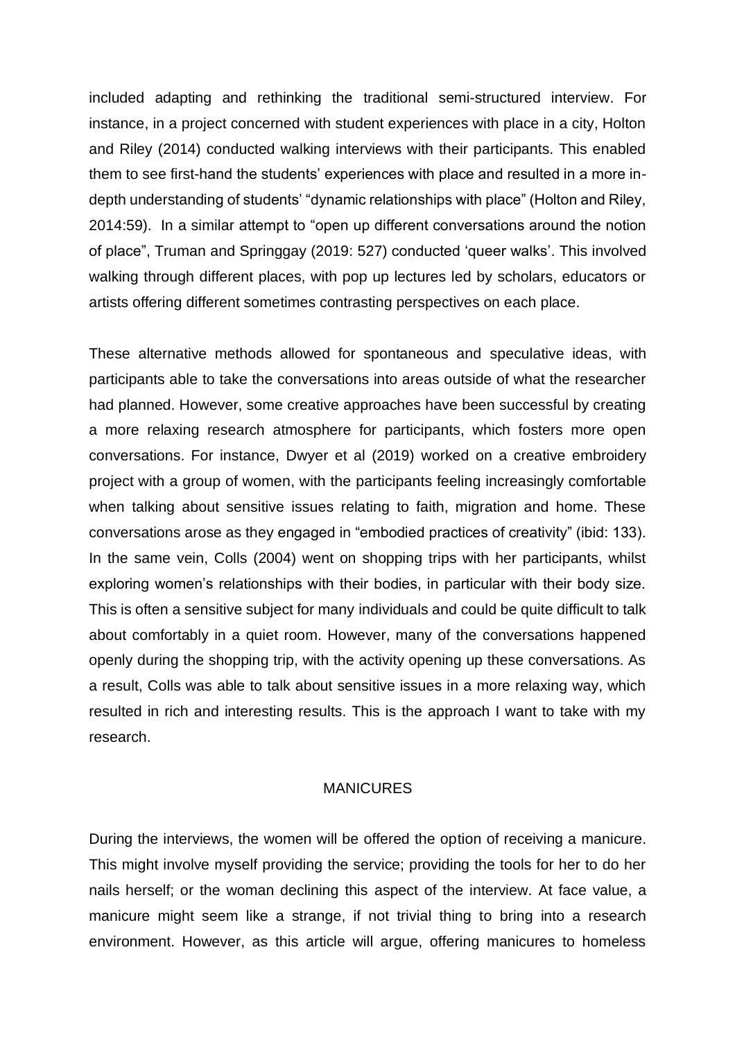included adapting and rethinking the traditional semi-structured interview. For instance, in a project concerned with student experiences with place in a city, Holton and Riley (2014) conducted walking interviews with their participants. This enabled them to see first-hand the students' experiences with place and resulted in a more indepth understanding of students' "dynamic relationships with place" (Holton and Riley, 2014:59). In a similar attempt to "open up different conversations around the notion of place", Truman and Springgay (2019: 527) conducted 'queer walks'. This involved walking through different places, with pop up lectures led by scholars, educators or artists offering different sometimes contrasting perspectives on each place.

These alternative methods allowed for spontaneous and speculative ideas, with participants able to take the conversations into areas outside of what the researcher had planned. However, some creative approaches have been successful by creating a more relaxing research atmosphere for participants, which fosters more open conversations. For instance, Dwyer et al (2019) worked on a creative embroidery project with a group of women, with the participants feeling increasingly comfortable when talking about sensitive issues relating to faith, migration and home. These conversations arose as they engaged in "embodied practices of creativity" (ibid: 133). In the same vein, Colls (2004) went on shopping trips with her participants, whilst exploring women's relationships with their bodies, in particular with their body size. This is often a sensitive subject for many individuals and could be quite difficult to talk about comfortably in a quiet room. However, many of the conversations happened openly during the shopping trip, with the activity opening up these conversations. As a result, Colls was able to talk about sensitive issues in a more relaxing way, which resulted in rich and interesting results. This is the approach I want to take with my research.

#### **MANICURES**

During the interviews, the women will be offered the option of receiving a manicure. This might involve myself providing the service; providing the tools for her to do her nails herself; or the woman declining this aspect of the interview. At face value, a manicure might seem like a strange, if not trivial thing to bring into a research environment. However, as this article will argue, offering manicures to homeless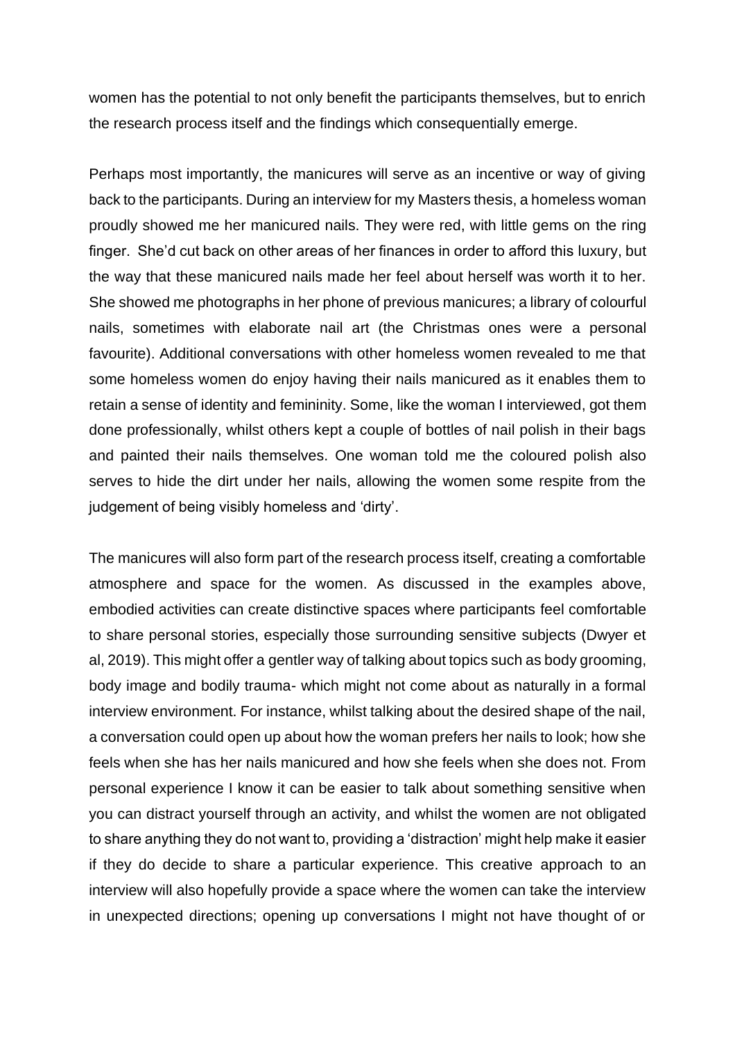women has the potential to not only benefit the participants themselves, but to enrich the research process itself and the findings which consequentially emerge.

Perhaps most importantly, the manicures will serve as an incentive or way of giving back to the participants. During an interview for my Masters thesis, a homeless woman proudly showed me her manicured nails. They were red, with little gems on the ring finger. She'd cut back on other areas of her finances in order to afford this luxury, but the way that these manicured nails made her feel about herself was worth it to her. She showed me photographs in her phone of previous manicures; a library of colourful nails, sometimes with elaborate nail art (the Christmas ones were a personal favourite). Additional conversations with other homeless women revealed to me that some homeless women do enjoy having their nails manicured as it enables them to retain a sense of identity and femininity. Some, like the woman I interviewed, got them done professionally, whilst others kept a couple of bottles of nail polish in their bags and painted their nails themselves. One woman told me the coloured polish also serves to hide the dirt under her nails, allowing the women some respite from the judgement of being visibly homeless and 'dirty'.

The manicures will also form part of the research process itself, creating a comfortable atmosphere and space for the women. As discussed in the examples above, embodied activities can create distinctive spaces where participants feel comfortable to share personal stories, especially those surrounding sensitive subjects (Dwyer et al, 2019). This might offer a gentler way of talking about topics such as body grooming, body image and bodily trauma- which might not come about as naturally in a formal interview environment. For instance, whilst talking about the desired shape of the nail, a conversation could open up about how the woman prefers her nails to look; how she feels when she has her nails manicured and how she feels when she does not. From personal experience I know it can be easier to talk about something sensitive when you can distract yourself through an activity, and whilst the women are not obligated to share anything they do not want to, providing a 'distraction' might help make it easier if they do decide to share a particular experience. This creative approach to an interview will also hopefully provide a space where the women can take the interview in unexpected directions; opening up conversations I might not have thought of or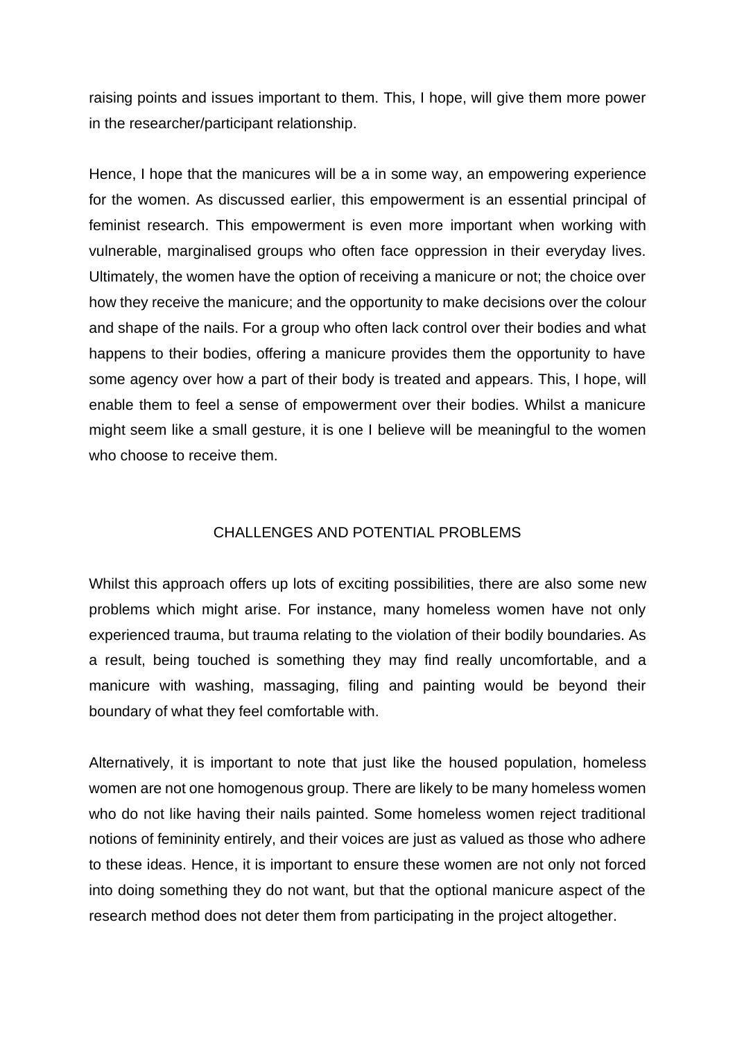raising points and issues important to them. This, I hope, will give them more power in the researcher/participant relationship.

Hence, I hope that the manicures will be a in some way, an empowering experience for the women. As discussed earlier, this empowerment is an essential principal of feminist research. This empowerment is even more important when working with vulnerable, marginalised groups who often face oppression in their everyday lives. Ultimately, the women have the option of receiving a manicure or not; the choice over how they receive the manicure; and the opportunity to make decisions over the colour and shape of the nails. For a group who often lack control over their bodies and what happens to their bodies, offering a manicure provides them the opportunity to have some agency over how a part of their body is treated and appears. This, I hope, will enable them to feel a sense of empowerment over their bodies. Whilst a manicure might seem like a small gesture, it is one I believe will be meaningful to the women who choose to receive them.

# CHALLENGES AND POTENTIAL PROBLEMS

Whilst this approach offers up lots of exciting possibilities, there are also some new problems which might arise. For instance, many homeless women have not only experienced trauma, but trauma relating to the violation of their bodily boundaries. As a result, being touched is something they may find really uncomfortable, and a manicure with washing, massaging, filing and painting would be beyond their boundary of what they feel comfortable with.

Alternatively, it is important to note that just like the housed population, homeless women are not one homogenous group. There are likely to be many homeless women who do not like having their nails painted. Some homeless women reject traditional notions of femininity entirely, and their voices are just as valued as those who adhere to these ideas. Hence, it is important to ensure these women are not only not forced into doing something they do not want, but that the optional manicure aspect of the research method does not deter them from participating in the project altogether.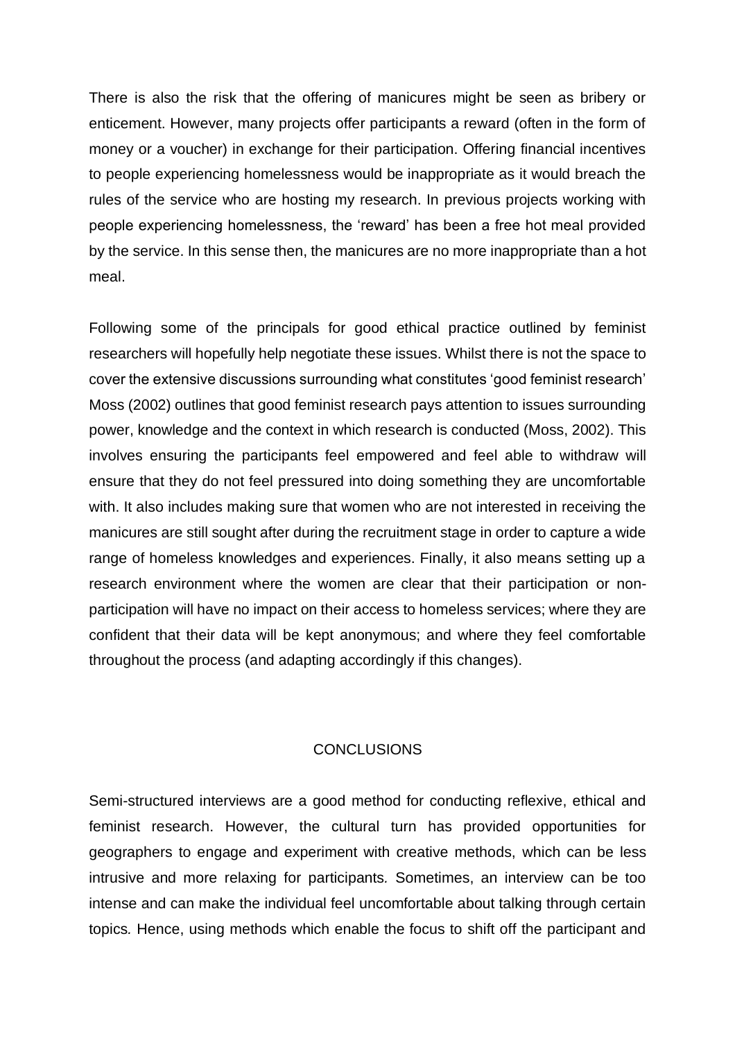There is also the risk that the offering of manicures might be seen as bribery or enticement. However, many projects offer participants a reward (often in the form of money or a voucher) in exchange for their participation. Offering financial incentives to people experiencing homelessness would be inappropriate as it would breach the rules of the service who are hosting my research. In previous projects working with people experiencing homelessness, the 'reward' has been a free hot meal provided by the service. In this sense then, the manicures are no more inappropriate than a hot meal.

Following some of the principals for good ethical practice outlined by feminist researchers will hopefully help negotiate these issues. Whilst there is not the space to cover the extensive discussions surrounding what constitutes 'good feminist research' Moss (2002) outlines that good feminist research pays attention to issues surrounding power, knowledge and the context in which research is conducted (Moss, 2002). This involves ensuring the participants feel empowered and feel able to withdraw will ensure that they do not feel pressured into doing something they are uncomfortable with. It also includes making sure that women who are not interested in receiving the manicures are still sought after during the recruitment stage in order to capture a wide range of homeless knowledges and experiences. Finally, it also means setting up a research environment where the women are clear that their participation or nonparticipation will have no impact on their access to homeless services; where they are confident that their data will be kept anonymous; and where they feel comfortable throughout the process (and adapting accordingly if this changes).

# **CONCLUSIONS**

Semi-structured interviews are a good method for conducting reflexive, ethical and feminist research. However, the cultural turn has provided opportunities for geographers to engage and experiment with creative methods, which can be less intrusive and more relaxing for participants*.* Sometimes, an interview can be too intense and can make the individual feel uncomfortable about talking through certain topics*.* Hence, using methods which enable the focus to shift off the participant and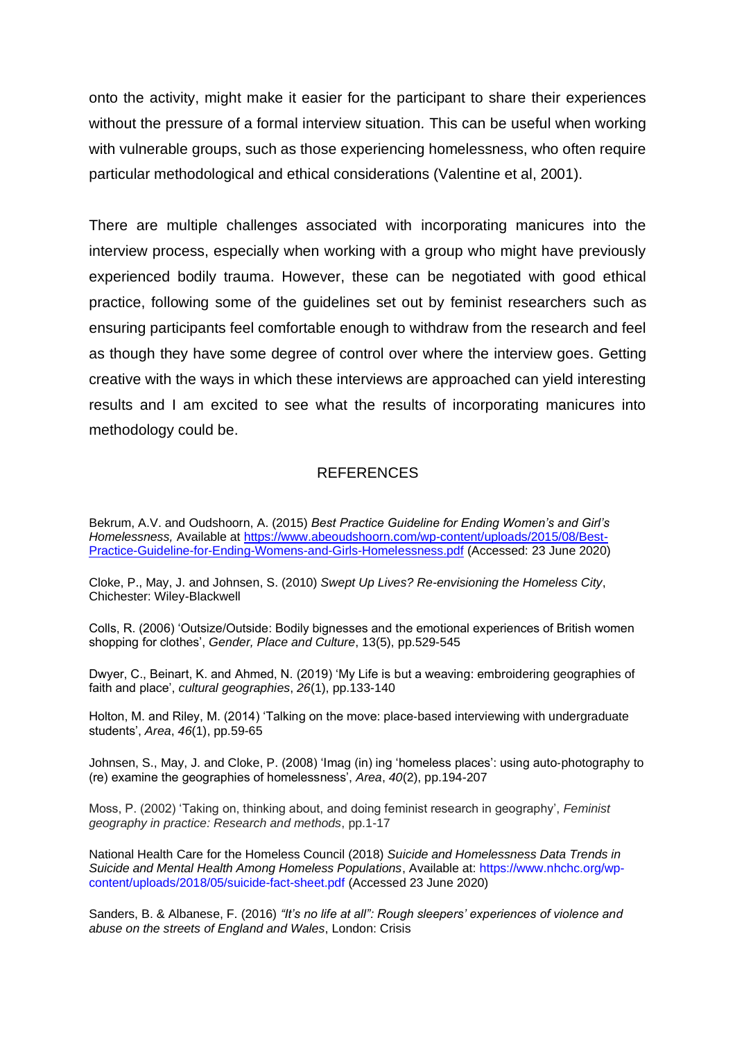onto the activity, might make it easier for the participant to share their experiences without the pressure of a formal interview situation*.* This can be useful when working with vulnerable groups, such as those experiencing homelessness, who often require particular methodological and ethical considerations (Valentine et al, 2001).

There are multiple challenges associated with incorporating manicures into the interview process, especially when working with a group who might have previously experienced bodily trauma. However, these can be negotiated with good ethical practice, following some of the guidelines set out by feminist researchers such as ensuring participants feel comfortable enough to withdraw from the research and feel as though they have some degree of control over where the interview goes. Getting creative with the ways in which these interviews are approached can yield interesting results and I am excited to see what the results of incorporating manicures into methodology could be.

### **REFERENCES**

Bekrum, A.V. and Oudshoorn, A. (2015) *Best Practice Guideline for Ending Women's and Girl's Homelessness,* Available at [https://www.abeoudshoorn.com/wp-content/uploads/2015/08/Best-](https://www.abeoudshoorn.com/wp-content/uploads/2015/08/Best-Practice-Guideline-for-Ending-Womens-and-Girls-Homelessness.pdf)[Practice-Guideline-for-Ending-Womens-and-Girls-Homelessness.pdf](https://www.abeoudshoorn.com/wp-content/uploads/2015/08/Best-Practice-Guideline-for-Ending-Womens-and-Girls-Homelessness.pdf) (Accessed: 23 June 2020)

Cloke, P., May, J. and Johnsen, S. (2010) *Swept Up Lives? Re-envisioning the Homeless City*, Chichester: Wiley-Blackwell

Colls, R. (2006) 'Outsize/Outside: Bodily bignesses and the emotional experiences of British women shopping for clothes', *Gender, Place and Culture*, 13(5), pp.529-545

Dwyer, C., Beinart, K. and Ahmed, N. (2019) 'My Life is but a weaving: embroidering geographies of faith and place', *cultural geographies*, *26*(1), pp.133-140

Holton, M. and Riley, M. (2014) 'Talking on the move: place-based interviewing with undergraduate students', *Area*, *46*(1), pp.59-65

Johnsen, S., May, J. and Cloke, P. (2008) 'Imag (in) ing 'homeless places': using auto‐photography to (re) examine the geographies of homelessness', *Area*, *40*(2), pp.194-207

Moss, P. (2002) 'Taking on, thinking about, and doing feminist research in geography', *Feminist geography in practice: Research and methods*, pp.1-17

National Health Care for the Homeless Council (2018) *Suicide and Homelessness Data Trends in Suicide and Mental Health Among Homeless Populations*, Available at: https://www.nhchc.org/wpcontent/uploads/2018/05/suicide-fact-sheet.pdf (Accessed 23 June 2020)

Sanders, B. & Albanese, F. (2016) *"It's no life at all": Rough sleepers' experiences of violence and abuse on the streets of England and Wales*, London: Crisis